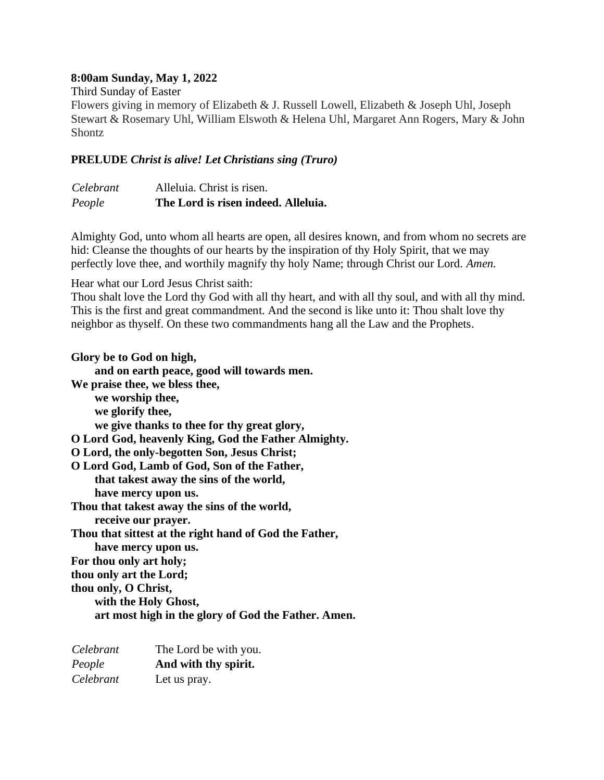## **8:00am Sunday, May 1, 2022**

Third Sunday of Easter

Flowers giving in memory of Elizabeth & J. Russell Lowell, Elizabeth & Joseph Uhl, Joseph Stewart & Rosemary Uhl, William Elswoth & Helena Uhl, Margaret Ann Rogers, Mary & John **Shontz** 

## **PRELUDE** *Christ is alive! Let Christians sing (Truro)*

| Celebrant | Alleluia. Christ is risen.          |
|-----------|-------------------------------------|
| People    | The Lord is risen indeed. Alleluia. |

Almighty God, unto whom all hearts are open, all desires known, and from whom no secrets are hid: Cleanse the thoughts of our hearts by the inspiration of thy Holy Spirit, that we may perfectly love thee, and worthily magnify thy holy Name; through Christ our Lord. *Amen.*

Hear what our Lord Jesus Christ saith:

Thou shalt love the Lord thy God with all thy heart, and with all thy soul, and with all thy mind. This is the first and great commandment. And the second is like unto it: Thou shalt love thy neighbor as thyself. On these two commandments hang all the Law and the Prophets.

**Glory be to God on high, and on earth peace, good will towards men. We praise thee, we bless thee, we worship thee, we glorify thee, we give thanks to thee for thy great glory, O Lord God, heavenly King, God the Father Almighty. O Lord, the only-begotten Son, Jesus Christ; O Lord God, Lamb of God, Son of the Father, that takest away the sins of the world, have mercy upon us. Thou that takest away the sins of the world, receive our prayer. Thou that sittest at the right hand of God the Father, have mercy upon us. For thou only art holy; thou only art the Lord; thou only, O Christ, with the Holy Ghost, art most high in the glory of God the Father. Amen.**

| Celebrant | The Lord be with you. |
|-----------|-----------------------|
| People    | And with thy spirit.  |
| Celebrant | Let us pray.          |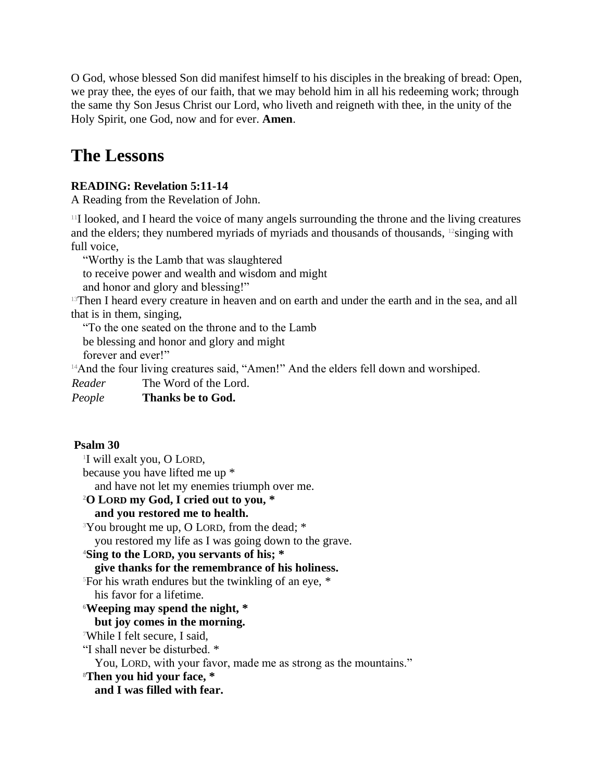O God, whose blessed Son did manifest himself to his disciples in the breaking of bread: Open, we pray thee, the eyes of our faith, that we may behold him in all his redeeming work; through the same thy Son Jesus Christ our Lord, who liveth and reigneth with thee, in the unity of the Holy Spirit, one God, now and for ever. **Amen**.

# **The Lessons**

# **READING: Revelation 5:11-14**

A Reading from the Revelation of John.

<sup>11</sup>I looked, and I heard the voice of many angels surrounding the throne and the living creatures and the elders; they numbered myriads of myriads and thousands of thousands, 12singing with full voice,

"Worthy is the Lamb that was slaughtered

to receive power and wealth and wisdom and might

and honor and glory and blessing!"

<sup>13</sup>Then I heard every creature in heaven and on earth and under the earth and in the sea, and all that is in them, singing,

"To the one seated on the throne and to the Lamb

be blessing and honor and glory and might

forever and ever!"

<sup>14</sup>And the four living creatures said, "Amen!" And the elders fell down and worshiped.

*Reader* The Word of the Lord.

*People* **Thanks be to God.**

## **Psalm 30**

1 I will exalt you, O LORD, because you have lifted me up \* and have not let my enemies triumph over me. **<sup>2</sup>O LORD my God, I cried out to you, \* and you restored me to health.** <sup>3</sup>You brought me up, O LORD, from the dead; \* you restored my life as I was going down to the grave. **<sup>4</sup>Sing to the LORD, you servants of his; \* give thanks for the remembrance of his holiness.** <sup>5</sup>For his wrath endures but the twinkling of an eye, \* his favor for a lifetime. **<sup>6</sup>Weeping may spend the night, \* but joy comes in the morning.** <sup>7</sup>While I felt secure, I said, "I shall never be disturbed. \* You, LORD, with your favor, made me as strong as the mountains." **<sup>8</sup>Then you hid your face, \***

**and I was filled with fear.**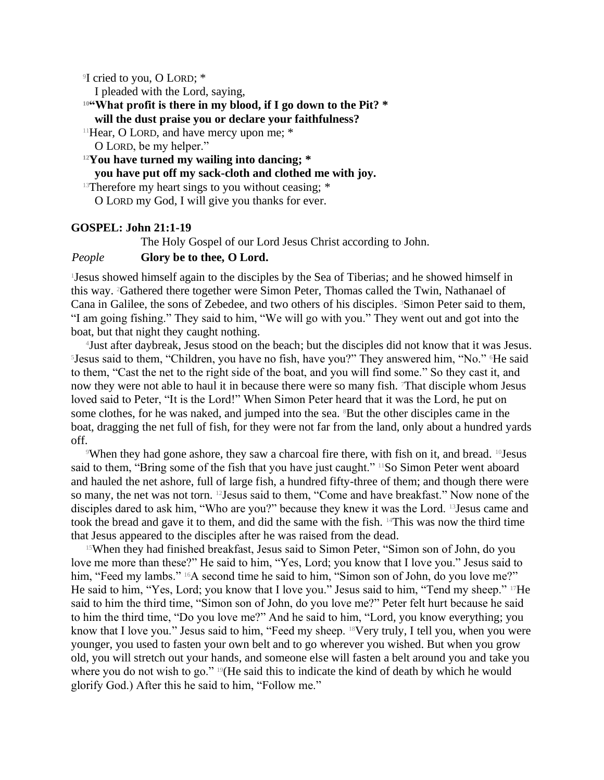9 I cried to you, O LORD; \*

I pleaded with the Lord, saying,

#### **<sup>10</sup>"What profit is there in my blood, if I go down to the Pit? \***

#### **will the dust praise you or declare your faithfulness?**

<sup>11</sup>Hear, O LORD, and have mercy upon me; \* O LORD, be my helper."

**<sup>12</sup>You have turned my wailing into dancing; \***

# **you have put off my sack-cloth and clothed me with joy.**

<sup>13</sup>Therefore my heart sings to you without ceasing:  $*$ 

O LORD my God, I will give you thanks for ever.

#### **GOSPEL: John 21:1-19**

The Holy Gospel of our Lord Jesus Christ according to John.

#### *People* **Glory be to thee, O Lord.**

<sup>1</sup>Jesus showed himself again to the disciples by the Sea of Tiberias; and he showed himself in this way. 2Gathered there together were Simon Peter, Thomas called the Twin, Nathanael of Cana in Galilee, the sons of Zebedee, and two others of his disciples. <sup>3</sup>Simon Peter said to them, "I am going fishing." They said to him, "We will go with you." They went out and got into the boat, but that night they caught nothing.

4 Just after daybreak, Jesus stood on the beach; but the disciples did not know that it was Jesus. <sup>5</sup>Jesus said to them, "Children, you have no fish, have you?" They answered him, "No." <sup>6</sup>He said to them, "Cast the net to the right side of the boat, and you will find some." So they cast it, and now they were not able to haul it in because there were so many fish. That disciple whom Jesus loved said to Peter, "It is the Lord!" When Simon Peter heard that it was the Lord, he put on some clothes, for he was naked, and jumped into the sea. <sup>8</sup>But the other disciples came in the boat, dragging the net full of fish, for they were not far from the land, only about a hundred yards off.

When they had gone ashore, they saw a charcoal fire there, with fish on it, and bread.  $^{10}$ Jesus said to them, "Bring some of the fish that you have just caught." <sup>11</sup>So Simon Peter went aboard and hauled the net ashore, full of large fish, a hundred fifty-three of them; and though there were so many, the net was not torn. 12Jesus said to them, "Come and have breakfast." Now none of the disciples dared to ask him, "Who are you?" because they knew it was the Lord. <sup>13</sup> Jesus came and took the bread and gave it to them, and did the same with the fish. 14This was now the third time that Jesus appeared to the disciples after he was raised from the dead.

<sup>15</sup>When they had finished breakfast, Jesus said to Simon Peter, "Simon son of John, do you love me more than these?" He said to him, "Yes, Lord; you know that I love you." Jesus said to him, "Feed my lambs." <sup>16</sup>A second time he said to him, "Simon son of John, do you love me?" He said to him, "Yes, Lord; you know that I love you." Jesus said to him, "Tend my sheep." 17He said to him the third time, "Simon son of John, do you love me?" Peter felt hurt because he said to him the third time, "Do you love me?" And he said to him, "Lord, you know everything; you know that I love you." Jesus said to him, "Feed my sheep. <sup>18</sup>Very truly, I tell you, when you were younger, you used to fasten your own belt and to go wherever you wished. But when you grow old, you will stretch out your hands, and someone else will fasten a belt around you and take you where you do not wish to go." 19(He said this to indicate the kind of death by which he would glorify God.) After this he said to him, "Follow me."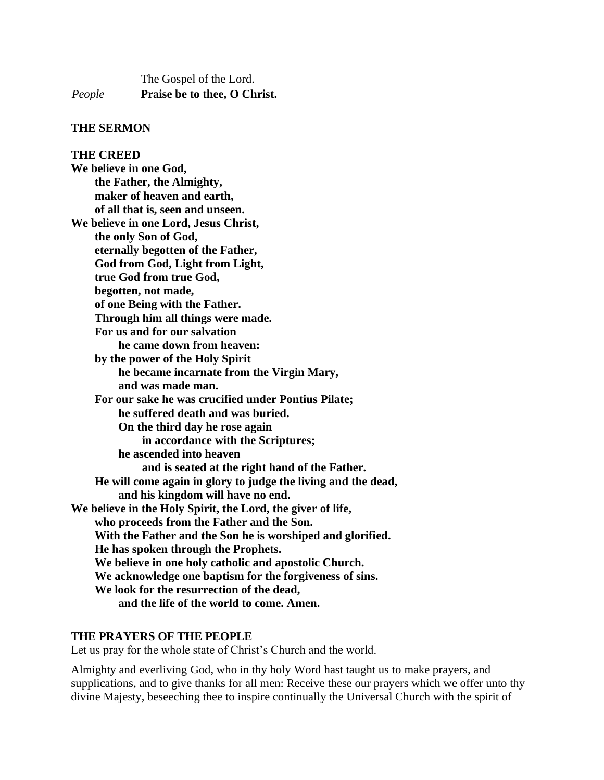The Gospel of the Lord. *People* **Praise be to thee, O Christ.**

#### **THE SERMON**

**THE CREED We believe in one God, the Father, the Almighty, maker of heaven and earth, of all that is, seen and unseen. We believe in one Lord, Jesus Christ, the only Son of God, eternally begotten of the Father, God from God, Light from Light, true God from true God, begotten, not made, of one Being with the Father. Through him all things were made. For us and for our salvation he came down from heaven: by the power of the Holy Spirit he became incarnate from the Virgin Mary, and was made man. For our sake he was crucified under Pontius Pilate; he suffered death and was buried. On the third day he rose again in accordance with the Scriptures; he ascended into heaven and is seated at the right hand of the Father. He will come again in glory to judge the living and the dead, and his kingdom will have no end. We believe in the Holy Spirit, the Lord, the giver of life, who proceeds from the Father and the Son. With the Father and the Son he is worshiped and glorified. He has spoken through the Prophets. We believe in one holy catholic and apostolic Church. We acknowledge one baptism for the forgiveness of sins. We look for the resurrection of the dead, and the life of the world to come. Amen.**

#### **THE PRAYERS OF THE PEOPLE**

Let us pray for the whole state of Christ's Church and the world.

Almighty and everliving God, who in thy holy Word hast taught us to make prayers, and supplications, and to give thanks for all men: Receive these our prayers which we offer unto thy divine Majesty, beseeching thee to inspire continually the Universal Church with the spirit of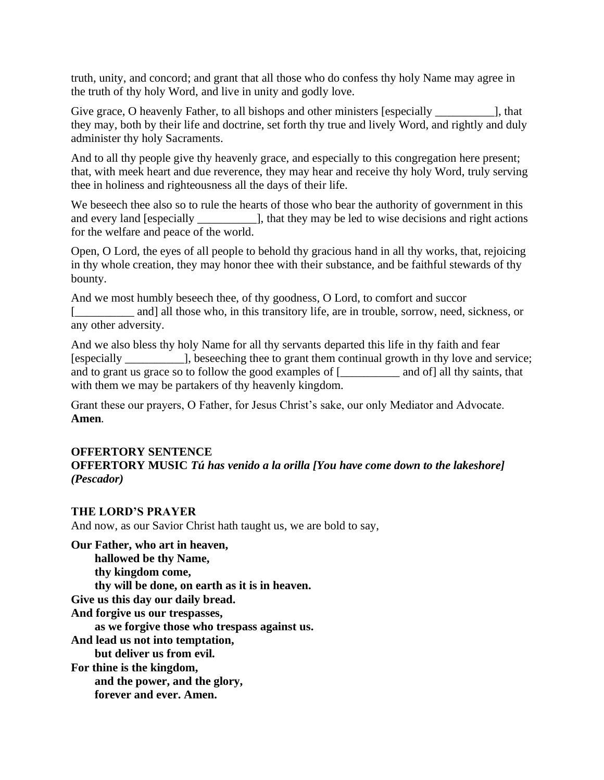truth, unity, and concord; and grant that all those who do confess thy holy Name may agree in the truth of thy holy Word, and live in unity and godly love.

Give grace, O heavenly Father, to all bishops and other ministers [especially \_\_\_\_\_\_\_\_\_\_\_\_\_], that they may, both by their life and doctrine, set forth thy true and lively Word, and rightly and duly administer thy holy Sacraments.

And to all thy people give thy heavenly grace, and especially to this congregation here present; that, with meek heart and due reverence, they may hear and receive thy holy Word, truly serving thee in holiness and righteousness all the days of their life.

We beseech thee also so to rule the hearts of those who bear the authority of government in this and every land [especially \_\_\_\_\_\_\_\_\_\_], that they may be led to wise decisions and right actions for the welfare and peace of the world.

Open, O Lord, the eyes of all people to behold thy gracious hand in all thy works, that, rejoicing in thy whole creation, they may honor thee with their substance, and be faithful stewards of thy bounty.

And we most humbly beseech thee, of thy goodness, O Lord, to comfort and succor [ and] all those who, in this transitory life, are in trouble, sorrow, need, sickness, or any other adversity.

And we also bless thy holy Name for all thy servants departed this life in thy faith and fear [especially \_\_\_\_\_\_\_\_\_\_], beseeching thee to grant them continual growth in thy love and service; and to grant us grace so to follow the good examples of  $\boxed{\phantom{a}}$  and of all thy saints, that with them we may be partakers of thy heavenly kingdom.

Grant these our prayers, O Father, for Jesus Christ's sake, our only Mediator and Advocate. **Amen***.*

## **OFFERTORY SENTENCE**

**OFFERTORY MUSIC** *Tú has venido a la orilla [You have come down to the lakeshore] (Pescador)*

## **THE LORD'S PRAYER**

And now, as our Savior Christ hath taught us, we are bold to say,

**Our Father, who art in heaven, hallowed be thy Name, thy kingdom come, thy will be done, on earth as it is in heaven. Give us this day our daily bread. And forgive us our trespasses, as we forgive those who trespass against us. And lead us not into temptation, but deliver us from evil. For thine is the kingdom, and the power, and the glory, forever and ever. Amen.**